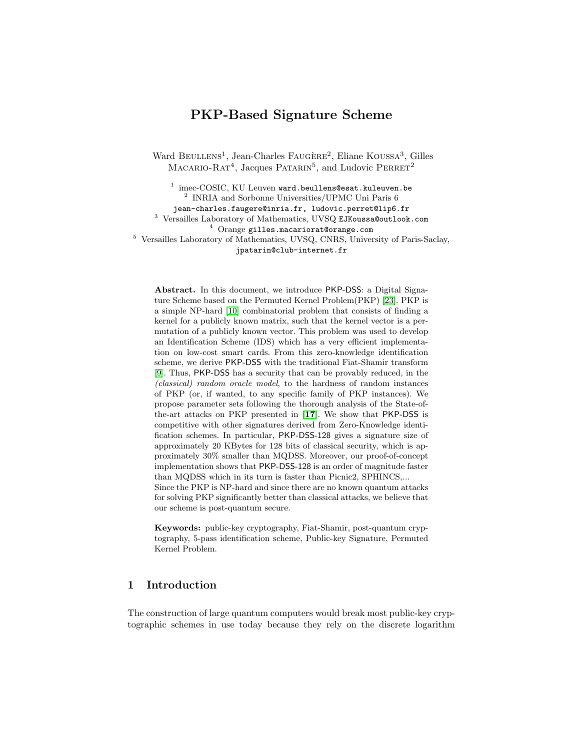# PKP-Based Signature Scheme

Ward BEULLENS<sup>1</sup>, Jean-Charles FAUGÈRE<sup>2</sup>, Eliane KOUSSA<sup>3</sup>, Gilles  $MACARIO-RAT<sup>4</sup>, Jacques PATARIN<sup>5</sup>, and Ludovic PERRET<sup>2</sup>$ 

 $^1$  imec-COSIC, KU Leuven ward.beullens@esat.kuleuven.be 2 INRIA and Sorbonne Universities/UPMC Uni Paris 6 jean-charles.faugere@inria.fr, ludovic.perret@lip6.fr <sup>3</sup> Versailles Laboratory of Mathematics, UVSQ EJKoussa@outlook.com <sup>4</sup> Orange gilles.macariorat@orange.com <sup>5</sup> Versailles Laboratory of Mathematics, UVSQ, CNRS, University of Paris-Saclay, jpatarin@club-internet.fr

Abstract. In this document, we introduce PKP-DSS: a Digital Signature Scheme based on the Permuted Kernel Problem(PKP) [\[23\]](#page-20-0). PKP is a simple NP-hard [\[10\]](#page-19-0) combinatorial problem that consists of finding a kernel for a publicly known matrix, such that the kernel vector is a permutation of a publicly known vector. This problem was used to develop an Identification Scheme (IDS) which has a very efficient implementation on low-cost smart cards. From this zero-knowledge identification scheme, we derive PKP-DSS with the traditional Fiat-Shamir transform [\[9\]](#page-19-1). Thus, PKP-DSS has a security that can be provably reduced, in the (classical) random oracle model, to the hardness of random instances of PKP (or, if wanted, to any specific family of PKP instances). We propose parameter sets following the thorough analysis of the State-ofthe-art attacks on PKP presented in [\[17\]](#page-19-2). We show that PKP-DSS is competitive with other signatures derived from Zero-Knowledge identification schemes. In particular, PKP-DSS-128 gives a signature size of approximately 20 KBytes for 128 bits of classical security, which is approximately 30% smaller than MQDSS. Moreover, our proof-of-concept implementation shows that PKP-DSS-128 is an order of magnitude faster than MQDSS which in its turn is faster than Picnic2, SPHINCS,... Since the PKP is NP-hard and since there are no known quantum attacks for solving PKP significantly better than classical attacks, we believe that

Keywords: public-key cryptography, Fiat-Shamir, post-quantum cryptography, 5-pass identification scheme, Public-key Signature, Permuted Kernel Problem.

## 1 Introduction

our scheme is post-quantum secure.

The construction of large quantum computers would break most public-key cryptographic schemes in use today because they rely on the discrete logarithm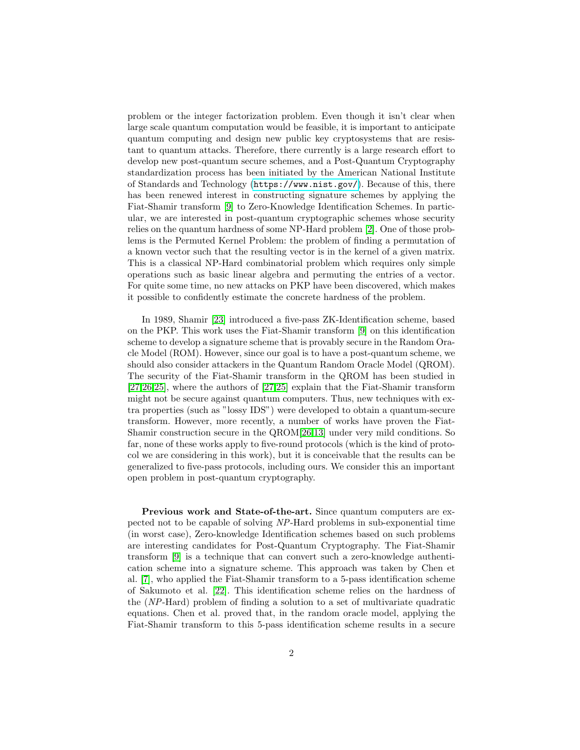problem or the integer factorization problem. Even though it isn't clear when large scale quantum computation would be feasible, it is important to anticipate quantum computing and design new public key cryptosystems that are resistant to quantum attacks. Therefore, there currently is a large research effort to develop new post-quantum secure schemes, and a Post-Quantum Cryptography standardization process has been initiated by the American National Institute of Standards and Technology (<https://www.nist.gov/>). Because of this, there has been renewed interest in constructing signature schemes by applying the Fiat-Shamir transform [\[9\]](#page-19-1) to Zero-Knowledge Identification Schemes. In particular, we are interested in post-quantum cryptographic schemes whose security relies on the quantum hardness of some NP-Hard problem [\[2\]](#page-18-0). One of those problems is the Permuted Kernel Problem: the problem of finding a permutation of a known vector such that the resulting vector is in the kernel of a given matrix. This is a classical NP-Hard combinatorial problem which requires only simple operations such as basic linear algebra and permuting the entries of a vector. For quite some time, no new attacks on PKP have been discovered, which makes it possible to confidently estimate the concrete hardness of the problem.

In 1989, Shamir [\[23\]](#page-20-0) introduced a five-pass ZK-Identification scheme, based on the PKP. This work uses the Fiat-Shamir transform [\[9\]](#page-19-1) on this identification scheme to develop a signature scheme that is provably secure in the Random Oracle Model (ROM). However, since our goal is to have a post-quantum scheme, we should also consider attackers in the Quantum Random Oracle Model (QROM). The security of the Fiat-Shamir transform in the QROM has been studied in [\[27](#page-20-1)[,26](#page-20-2)[,25\]](#page-20-3), where the authors of [\[27,](#page-20-1)[25\]](#page-20-3) explain that the Fiat-Shamir transform might not be secure against quantum computers. Thus, new techniques with extra properties (such as "lossy IDS") were developed to obtain a quantum-secure transform. However, more recently, a number of works have proven the Fiat-Shamir construction secure in the QROM[\[26,](#page-20-2)[13\]](#page-19-3) under very mild conditions. So far, none of these works apply to five-round protocols (which is the kind of protocol we are considering in this work), but it is conceivable that the results can be generalized to five-pass protocols, including ours. We consider this an important open problem in post-quantum cryptography.

Previous work and State-of-the-art. Since quantum computers are expected not to be capable of solving NP-Hard problems in sub-exponential time (in worst case), Zero-knowledge Identification schemes based on such problems are interesting candidates for Post-Quantum Cryptography. The Fiat-Shamir transform [\[9\]](#page-19-1) is a technique that can convert such a zero-knowledge authentication scheme into a signature scheme. This approach was taken by Chen et al. [\[7\]](#page-19-4), who applied the Fiat-Shamir transform to a 5-pass identification scheme of Sakumoto et al. [\[22\]](#page-20-4). This identification scheme relies on the hardness of the (NP-Hard) problem of finding a solution to a set of multivariate quadratic equations. Chen et al. proved that, in the random oracle model, applying the Fiat-Shamir transform to this 5-pass identification scheme results in a secure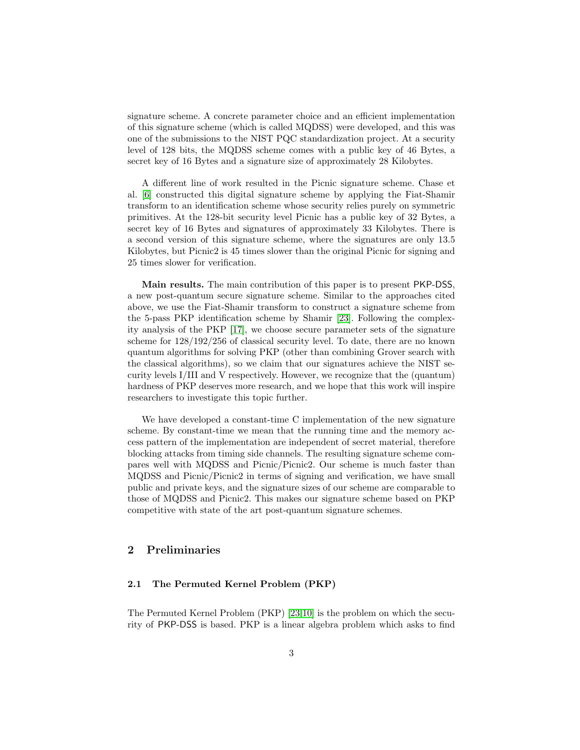signature scheme. A concrete parameter choice and an efficient implementation of this signature scheme (which is called MQDSS) were developed, and this was one of the submissions to the NIST PQC standardization project. At a security level of 128 bits, the MQDSS scheme comes with a public key of 46 Bytes, a secret key of 16 Bytes and a signature size of approximately 28 Kilobytes.

A different line of work resulted in the Picnic signature scheme. Chase et al. [\[6\]](#page-19-5) constructed this digital signature scheme by applying the Fiat-Shamir transform to an identification scheme whose security relies purely on symmetric primitives. At the 128-bit security level Picnic has a public key of 32 Bytes, a secret key of 16 Bytes and signatures of approximately 33 Kilobytes. There is a second version of this signature scheme, where the signatures are only 13.5 Kilobytes, but Picnic2 is 45 times slower than the original Picnic for signing and 25 times slower for verification.

Main results. The main contribution of this paper is to present PKP-DSS, a new post-quantum secure signature scheme. Similar to the approaches cited above, we use the Fiat-Shamir transform to construct a signature scheme from the 5-pass PKP identification scheme by Shamir [\[23\]](#page-20-0). Following the complexity analysis of the PKP [\[17\]](#page-19-2), we choose secure parameter sets of the signature scheme for 128/192/256 of classical security level. To date, there are no known quantum algorithms for solving PKP (other than combining Grover search with the classical algorithms), so we claim that our signatures achieve the NIST security levels I/III and V respectively. However, we recognize that the (quantum) hardness of PKP deserves more research, and we hope that this work will inspire researchers to investigate this topic further.

We have developed a constant-time C implementation of the new signature scheme. By constant-time we mean that the running time and the memory access pattern of the implementation are independent of secret material, therefore blocking attacks from timing side channels. The resulting signature scheme compares well with MQDSS and Picnic/Picnic2. Our scheme is much faster than MQDSS and Picnic/Picnic2 in terms of signing and verification, we have small public and private keys, and the signature sizes of our scheme are comparable to those of MQDSS and Picnic2. This makes our signature scheme based on PKP competitive with state of the art post-quantum signature schemes.

## 2 Preliminaries

#### 2.1 The Permuted Kernel Problem (PKP)

The Permuted Kernel Problem (PKP) [\[23,](#page-20-0)[10\]](#page-19-0) is the problem on which the security of PKP-DSS is based. PKP is a linear algebra problem which asks to find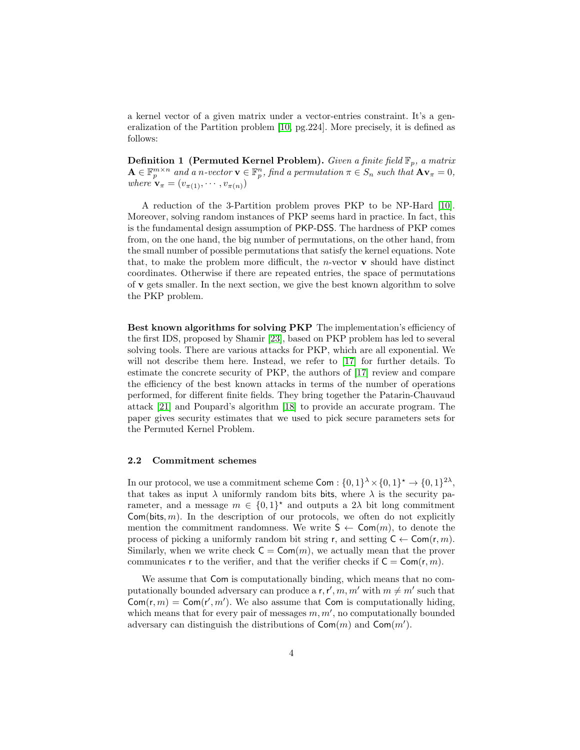a kernel vector of a given matrix under a vector-entries constraint. It's a generalization of the Partition problem [\[10,](#page-19-0) pg.224]. More precisely, it is defined as follows:

**Definition 1 (Permuted Kernel Problem).** Given a finite field  $\mathbb{F}_p$ , a matrix  $\mathbf{A} \in \mathbb{F}_p^{m \times n}$  and a n-vector  $\mathbf{v} \in \mathbb{F}_p^n$ , find a permutation  $\pi \in S_n$  such that  $\mathbf{A} \mathbf{v}_\pi = 0$ , where  $\mathbf{v}_{\pi} = (v_{\pi(1)}, \cdots, v_{\pi(n)})$ 

A reduction of the 3-Partition problem proves PKP to be NP-Hard [\[10\]](#page-19-0). Moreover, solving random instances of PKP seems hard in practice. In fact, this is the fundamental design assumption of PKP-DSS. The hardness of PKP comes from, on the one hand, the big number of permutations, on the other hand, from the small number of possible permutations that satisfy the kernel equations. Note that, to make the problem more difficult, the *n*-vector  $\bf{v}$  should have distinct coordinates. Otherwise if there are repeated entries, the space of permutations of v gets smaller. In the next section, we give the best known algorithm to solve the PKP problem.

<span id="page-3-0"></span>Best known algorithms for solving PKP The implementation's efficiency of the first IDS, proposed by Shamir [\[23\]](#page-20-0), based on PKP problem has led to several solving tools. There are various attacks for PKP, which are all exponential. We will not describe them here. Instead, we refer to [\[17\]](#page-19-2) for further details. To estimate the concrete security of PKP, the authors of [\[17\]](#page-19-2) review and compare the efficiency of the best known attacks in terms of the number of operations performed, for different finite fields. They bring together the Patarin-Chauvaud attack [\[21\]](#page-19-6) and Poupard's algorithm [\[18\]](#page-19-7) to provide an accurate program. The paper gives security estimates that we used to pick secure parameters sets for the Permuted Kernel Problem.

#### 2.2 Commitment schemes

In our protocol, we use a commitment scheme  $Com: \{0,1\}^{\lambda} \times \{0,1\}^{\star} \to \{0,1\}^{2\lambda}$ , that takes as input  $\lambda$  uniformly random bits bits, where  $\lambda$  is the security parameter, and a message  $m \in \{0,1\}^*$  and outputs a 2 $\lambda$  bit long commitment Com(bits,  $m$ ). In the description of our protocols, we often do not explicitly mention the commitment randomness. We write  $S \leftarrow \text{Com}(m)$ , to denote the process of picking a uniformly random bit string r, and setting  $C \leftarrow \text{Com}(r, m)$ . Similarly, when we write check  $C = \text{Com}(m)$ , we actually mean that the prover communicates r to the verifier, and that the verifier checks if  $C = \text{Com}(r, m)$ .

We assume that Com is computationally binding, which means that no computationally bounded adversary can produce a r, r', m, m' with  $m \neq m'$  such that  $\textsf{Com}(r,m) = \textsf{Com}(r',m')$ . We also assume that Com is computationally hiding, which means that for every pair of messages  $m, m'$ , no computationally bounded adversary can distinguish the distributions of  $\mathsf{Com}(m)$  and  $\mathsf{Com}(m')$ .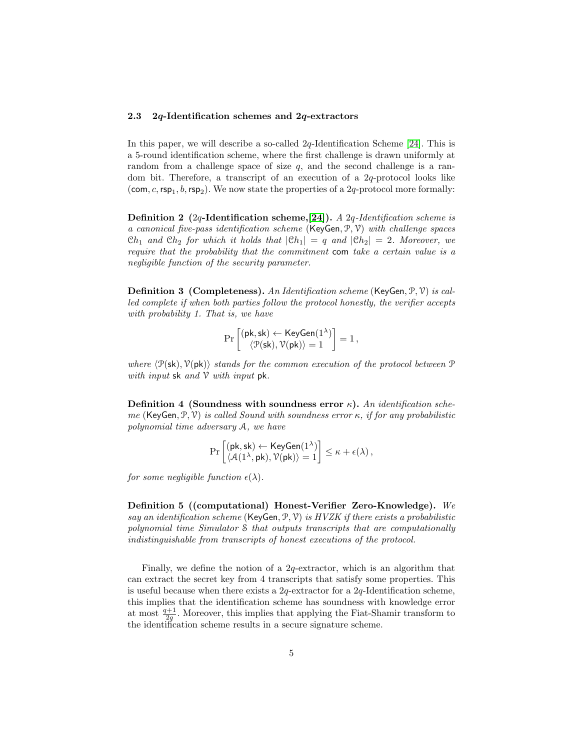### 2.3 2q-Identification schemes and 2q-extractors

In this paper, we will describe a so-called 2q-Identification Scheme [\[24\]](#page-20-5). This is a 5-round identification scheme, where the first challenge is drawn uniformly at random from a challenge space of size  $q$ , and the second challenge is a random bit. Therefore, a transcript of an execution of a 2q-protocol looks like (com, c,  $\text{rsp}_1, b, \text{rsp}_2$ ). We now state the properties of a 2q-protocol more formally:

Definition 2 (2q-Identification scheme, [\[24\]](#page-20-5)). A 2q-Identification scheme is a canonical five-pass identification scheme (KeyGen,  $\mathcal{P}, \mathcal{V}$ ) with challenge spaces  $Ch_1$  and  $Ch_2$  for which it holds that  $|Ch_1| = q$  and  $|Ch_2| = 2$ . Moreover, we require that the probability that the commitment com take a certain value is a negligible function of the security parameter.

Definition 3 (Completeness). An Identification scheme (KeyGen, P, V) is called complete if when both parties follow the protocol honestly, the verifier accepts with probability 1. That is, we have

$$
\Pr\left[\begin{matrix}(\mathsf{pk},\mathsf{sk})\leftarrow \mathsf{KeyGen}(1^{\lambda}) \\ \left\langle \mathfrak{P}(\mathsf{sk}), \mathcal{V}(\mathsf{pk})\right\rangle =1\end{matrix}\right] = 1\,,
$$

where  $\langle \mathcal{P}(\mathsf{sk}), \mathcal{V}(\mathsf{pk})\rangle$  stands for the common execution of the protocol between  $\mathcal P$ with input  $sk$  and  $V$  with input  $pk$ .

Definition 4 (Soundness with soundness error  $\kappa$ ). An identification scheme (KeyGen, P, V) is called Sound with soundness error  $\kappa$ , if for any probabilistic polynomial time adversary A, we have

$$
\Pr\left[\begin{matrix}(\mathsf{pk},\mathsf{sk}) \leftarrow \mathsf{KeyGen}(1^\lambda) \\ \left\langle \mathcal{A}(1^\lambda,\mathsf{pk}), \mathcal{V}(\mathsf{pk}) \right\rangle = 1 \end{matrix}\right] \leq \kappa + \epsilon(\lambda)\,,
$$

for some negligible function  $\epsilon(\lambda)$ .

Definition 5 ((computational) Honest-Verifier Zero-Knowledge). We say an identification scheme (KeyGen, P, V) is  $HVZK$  if there exists a probabilistic polynomial time Simulator S that outputs transcripts that are computationally indistinguishable from transcripts of honest executions of the protocol.

Finally, we define the notion of a 2q-extractor, which is an algorithm that can extract the secret key from 4 transcripts that satisfy some properties. This is useful because when there exists a  $2q$ -extractor for a  $2q$ -Identification scheme, this implies that the identification scheme has soundness with knowledge error at most  $\frac{q+1}{2q}$ . Moreover, this implies that applying the Fiat-Shamir transform to the identification scheme results in a secure signature scheme.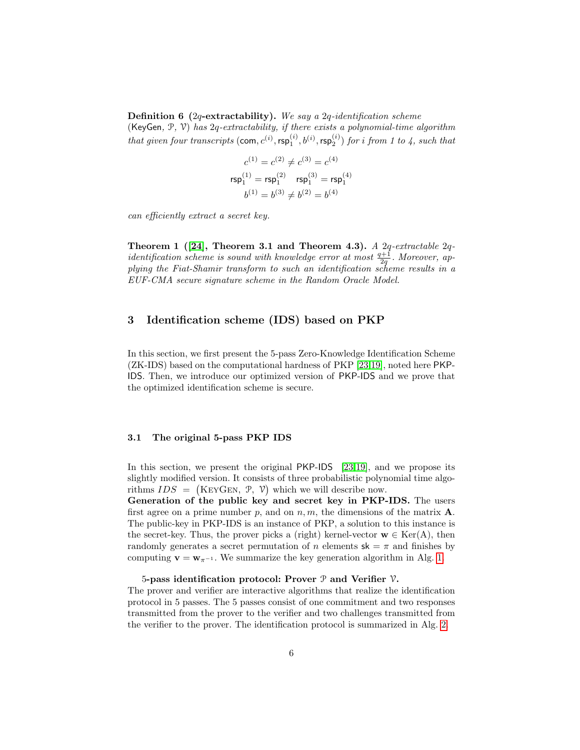**Definition 6** (2q-extractability). We say a 2q-identification scheme

(KeyGen,  $P$ ,  $V$ ) has  $2q$ -extractability, if there exists a polynomial-time algorithm that given four transcripts  $(\textsf{com}, c^{(i)}, \textsf{rsp}_1^{(i)}, b^{(i)}, \textsf{rsp}_2^{(i)})$  for i from 1 to 4, such that

$$
c^{(1)} = c^{(2)} \neq c^{(3)} = c^{(4)}
$$
  
\n
$$
rsp_1^{(1)} = rsp_1^{(2)} \quad rsp_1^{(3)} = rsp_1^{(4)}
$$
  
\n
$$
b^{(1)} = b^{(3)} \neq b^{(2)} = b^{(4)}
$$

can efficiently extract a secret key.

Theorem 1 ([\[24\]](#page-20-5), Theorem 3.1 and Theorem 4.3). A  $2q$ -extractable  $2q$ identification scheme is sound with knowledge error at most  $\frac{q+1}{2q}$ . Moreover, applying the Fiat-Shamir transform to such an identification scheme results in a EUF-CMA secure signature scheme in the Random Oracle Model.

## <span id="page-5-0"></span>3 Identification scheme (IDS) based on PKP

In this section, we first present the 5-pass Zero-Knowledge Identification Scheme (ZK-IDS) based on the computational hardness of PKP [\[23,](#page-20-0)[19\]](#page-19-8), noted here PKP-IDS. Then, we introduce our optimized version of PKP-IDS and we prove that the optimized identification scheme is secure.

### 3.1 The original 5-pass PKP IDS

In this section, we present the original PKP-IDS [\[23,](#page-20-0)[19\]](#page-19-8), and we propose its slightly modified version. It consists of three probabilistic polynomial time algorithms  $IDS = (KEYGEN, \mathcal{P}, \mathcal{V})$  which we will describe now.

Generation of the public key and secret key in PKP-IDS. The users first agree on a prime number p, and on  $n, m$ , the dimensions of the matrix  $\mathbf{A}$ . The public-key in PKP-IDS is an instance of PKP, a solution to this instance is the secret-key. Thus, the prover picks a (right) kernel-vector  $\mathbf{w} \in \text{Ker}(\mathbf{A})$ , then randomly generates a secret permutation of n elements  $sk = \pi$  and finishes by computing  $\mathbf{v} = \mathbf{w}_{\pi^{-1}}$ . We summarize the key generation algorithm in Alg. [1.](#page-6-0)

#### 5-pass identification protocol: Prover  $P$  and Verifier  $V$ .

The prover and verifier are interactive algorithms that realize the identification protocol in 5 passes. The 5 passes consist of one commitment and two responses transmitted from the prover to the verifier and two challenges transmitted from the verifier to the prover. The identification protocol is summarized in Alg. [2.](#page-6-1)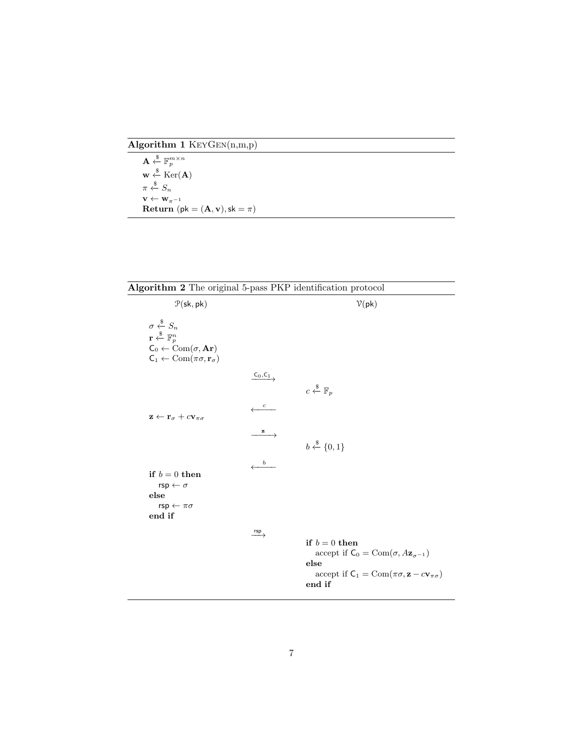Algorithm 1 KeyGen(n,m,p)

<span id="page-6-0"></span>

| $\mathbf{A} \stackrel{\$}{\leftarrow} \mathbb{F}_p^{m \times n}$ |
|------------------------------------------------------------------|
| $\mathbf{w} \leftarrow \text{Ker}(\mathbf{A})$                   |
| $\pi \overset{\$}{\leftarrow} S_n$                               |
| $\mathbf{v} \leftarrow \mathbf{w}_{\pi^{-1}}$                    |
| Return (pk = $(A, v)$ , sk = $\pi$ )                             |

<span id="page-6-1"></span>

| Algorithm 2 The original 5-pass PKP identification protocol                                                                                                                                                      |                                              |                                                                                                                                                                                        |  |  |  |  |
|------------------------------------------------------------------------------------------------------------------------------------------------------------------------------------------------------------------|----------------------------------------------|----------------------------------------------------------------------------------------------------------------------------------------------------------------------------------------|--|--|--|--|
| $P(\mathsf{sk}, \mathsf{pk})$                                                                                                                                                                                    |                                              | $V(\mathsf{pk})$                                                                                                                                                                       |  |  |  |  |
| $\sigma \overset{\$}{\leftarrow} S_n$<br>$\mathbf{r} \overset{\$}{\leftarrow} \mathbb{F}_p^n$<br>$C_0 \leftarrow \text{Com}( \sigma, \mathbf{Ar})$<br>$C_1 \leftarrow \text{Com}(\pi \sigma, \mathbf{r}_\sigma)$ |                                              |                                                                                                                                                                                        |  |  |  |  |
|                                                                                                                                                                                                                  | $\xrightarrow{C_0, C_1}$<br>$\boldsymbol{c}$ | $c \stackrel{\$}{\leftarrow} \mathbb{F}_p$                                                                                                                                             |  |  |  |  |
| $\mathbf{z} \leftarrow \mathbf{r}_{\sigma} + c \mathbf{v}_{\pi\sigma}$                                                                                                                                           | z                                            | $b \stackrel{\$}{\leftarrow} \{0,1\}$                                                                                                                                                  |  |  |  |  |
| if $b=0$ then<br>$\mathsf{rsp} \leftarrow \sigma$<br>else                                                                                                                                                        | $\leftarrow$                                 |                                                                                                                                                                                        |  |  |  |  |
| $rsp \leftarrow \pi\sigma$<br>end if                                                                                                                                                                             | $\xrightarrow{rsp}$                          |                                                                                                                                                                                        |  |  |  |  |
|                                                                                                                                                                                                                  |                                              | if $b=0$ then<br>accept if $C_0 = \text{Com}(\sigma, A\mathbf{z}_{\sigma^{-1}})$<br>else<br>accept if $C_1 = \text{Com}(\pi \sigma, \mathbf{z} - c \mathbf{v}_{\pi \sigma})$<br>end if |  |  |  |  |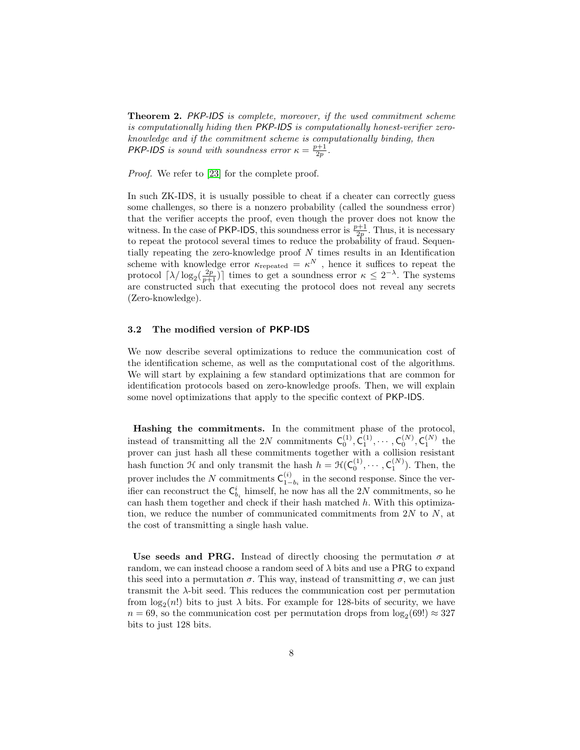Theorem 2. PKP-IDS is complete, moreover, if the used commitment scheme is computationally hiding then PKP-IDS is computationally honest-verifier zeroknowledge and if the commitment scheme is computationally binding, then **PKP-IDS** is sound with soundness error  $\kappa = \frac{p+1}{2p}$ .

Proof. We refer to [\[23\]](#page-20-0) for the complete proof.

In such ZK-IDS, it is usually possible to cheat if a cheater can correctly guess some challenges, so there is a nonzero probability (called the soundness error) that the verifier accepts the proof, even though the prover does not know the witness. In the case of PKP-IDS, this soundness error is  $\frac{p+1}{2p}$ . Thus, it is necessary to repeat the protocol several times to reduce the probability of fraud. Sequentially repeating the zero-knowledge proof N times results in an Identification scheme with knowledge error  $\kappa_{\text{repeated}} = \kappa^N$ , hence it suffices to repeat the protocol  $\lceil \lambda / \log_2(\frac{2p}{p+1}) \rceil$  times to get a soundness error  $\kappa \leq 2^{-\lambda}$ . The systems are constructed such that executing the protocol does not reveal any secrets (Zero-knowledge).

### 3.2 The modified version of PKP-IDS

We now describe several optimizations to reduce the communication cost of the identification scheme, as well as the computational cost of the algorithms. We will start by explaining a few standard optimizations that are common for identification protocols based on zero-knowledge proofs. Then, we will explain some novel optimizations that apply to the specific context of PKP-IDS.

Hashing the commitments. In the commitment phase of the protocol, instead of transmitting all the 2N commitments  $C_0^{(1)}$ ,  $C_1^{(1)}$ ,  $\cdots$ ,  $C_0^{(N)}$ ,  $C_1^{(N)}$  the prover can just hash all these commitments together with a collision resistant hash function  $\mathcal H$  and only transmit the hash  $h = \mathcal H(\mathsf C_0^{(1)},\cdots,\mathsf C_1^{(N)})$ . Then, the  $_0$  ,  $\cdots$  ,  $C_1$ prover includes the N commitments  $C_1^{(i)}$  $\binom{v}{1-b_i}$  in the second response. Since the verifier can reconstruct the  $\mathsf{C}^i_{b_i}$  himself, he now has all the 2N commitments, so he can hash them together and check if their hash matched  $h$ . With this optimization, we reduce the number of communicated commitments from  $2N$  to  $N$ , at the cost of transmitting a single hash value.

Use seeds and PRG. Instead of directly choosing the permutation  $\sigma$  at random, we can instead choose a random seed of  $\lambda$  bits and use a PRG to expand this seed into a permutation  $\sigma$ . This way, instead of transmitting  $\sigma$ , we can just transmit the  $\lambda$ -bit seed. This reduces the communication cost per permutation from  $log_2(n!)$  bits to just  $\lambda$  bits. For example for 128-bits of security, we have  $n = 69$ , so the communication cost per permutation drops from  $log_2(69!) \approx 327$ bits to just 128 bits.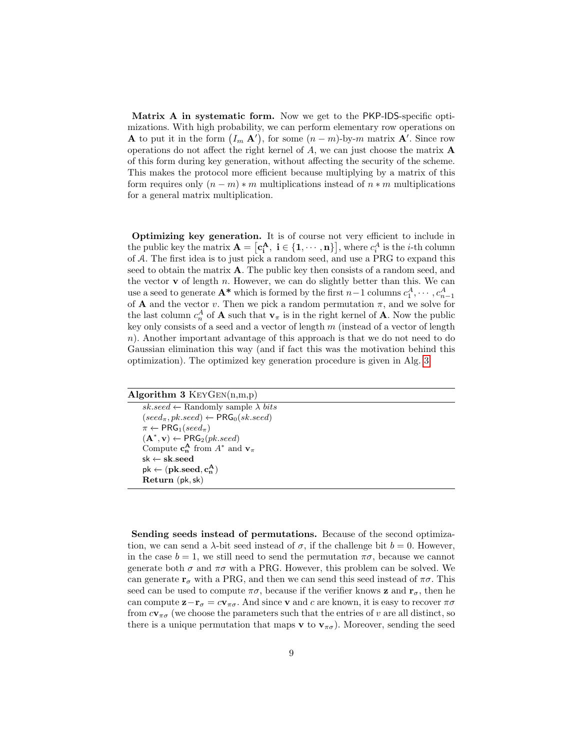Matrix A in systematic form. Now we get to the PKP-IDS-specific optimizations. With high probability, we can perform elementary row operations on **A** to put it in the form  $(I_m \mathbf{A}')$ , for some  $(n - m)$ -by-m matrix **A'**. Since row operations do not affect the right kernel of A, we can just choose the matrix A of this form during key generation, without affecting the security of the scheme. This makes the protocol more efficient because multiplying by a matrix of this form requires only  $(n - m) * m$  multiplications instead of  $n * m$  multiplications for a general matrix multiplication.

Optimizing key generation. It is of course not very efficient to include in the public key the matrix  $\mathbf{A} = [\mathbf{c_i^A}, \; \mathbf{i} \in \{1, \cdots, \mathbf{n}\}]$ , where  $c_i^A$  is the *i*-th column of A. The first idea is to just pick a random seed, and use a PRG to expand this seed to obtain the matrix A. The public key then consists of a random seed, and the vector  $\bf{v}$  of length n. However, we can do slightly better than this. We can use a seed to generate  $A^*$  which is formed by the first  $n-1$  columns  $c_1^A, \cdots, c_{n-1}^A$ of **A** and the vector v. Then we pick a random permutation  $\pi$ , and we solve for the last column  $c_n^A$  of **A** such that  $\mathbf{v}_\pi$  is in the right kernel of **A**. Now the public key only consists of a seed and a vector of length  $m$  (instead of a vector of length n). Another important advantage of this approach is that we do not need to do Gaussian elimination this way (and if fact this was the motivation behind this optimization). The optimized key generation procedure is given in Alg. [3.](#page-8-0)

<span id="page-8-0"></span>

| Algorithm 3 $KeyGEN(n,m,p)$                                                                 |
|---------------------------------------------------------------------------------------------|
| $sk. seed \leftarrow$ Randomly sample $\lambda$ bits                                        |
| $(\text{seed}_{\pi}, \text{pk}.\text{seed}) \leftarrow \text{PRG}_0(\text{sk}.\text{seed})$ |
| $\pi \leftarrow PRG_1(seed_{\pi})$                                                          |
| $(\mathbf{A}^*, \mathbf{v}) \leftarrow \textsf{PRG}_2(pk.seed)$                             |
| Compute $c_n^A$ from $A^*$ and $v_\pi$                                                      |
| $sk \leftarrow sk.seed$                                                                     |
| $pk \leftarrow (pk.seed, c_n^A)$                                                            |
| Return (pk, sk)                                                                             |

Sending seeds instead of permutations. Because of the second optimization, we can send a  $\lambda$ -bit seed instead of  $\sigma$ , if the challenge bit  $b = 0$ . However, in the case  $b = 1$ , we still need to send the permutation  $\pi\sigma$ , because we cannot generate both  $\sigma$  and  $\pi\sigma$  with a PRG. However, this problem can be solved. We can generate  $\mathbf{r}_{\sigma}$  with a PRG, and then we can send this seed instead of  $\pi\sigma$ . This seed can be used to compute  $\pi\sigma$ , because if the verifier knows **z** and  $\mathbf{r}_{\sigma}$ , then he can compute  $\mathbf{z}-\mathbf{r}_{\sigma} = c\mathbf{v}_{\pi\sigma}$ . And since **v** and c are known, it is easy to recover  $\pi\sigma$ from  $c\mathbf{v}_{\pi\sigma}$  (we choose the parameters such that the entries of v are all distinct, so there is a unique permutation that maps **v** to  $\mathbf{v}_{\pi\sigma}$ ). Moreover, sending the seed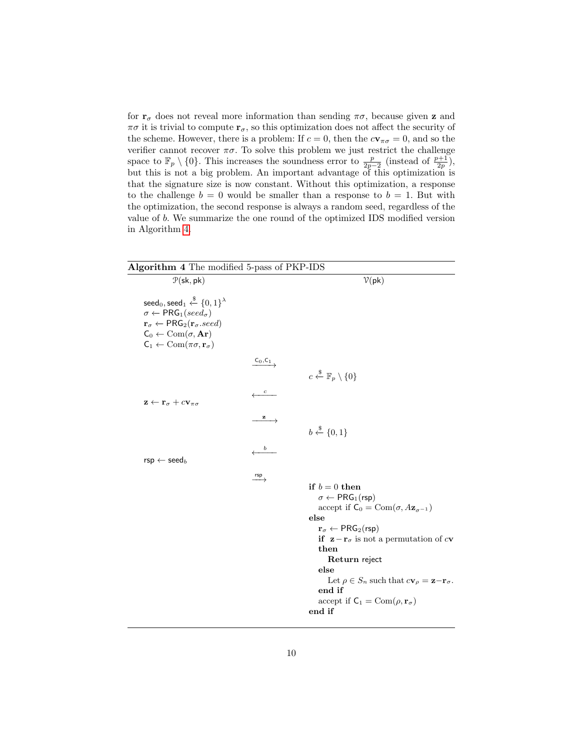for  $r_{\sigma}$  does not reveal more information than sending  $\pi\sigma$ , because given **z** and  $\pi\sigma$  it is trivial to compute  $\mathbf{r}_{\sigma}$ , so this optimization does not affect the security of the scheme. However, there is a problem: If  $c = 0$ , then the  $c\mathbf{v}_{\pi\sigma} = 0$ , and so the verifier cannot recover  $\pi\sigma.$  To solve this problem we just restrict the challenge space to  $\mathbb{F}_p \setminus \{0\}$ . This increases the soundness error to  $\frac{p}{2p-2}$  (instead of  $\frac{p+1}{2p}$ ), but this is not a big problem. An important advantage of this optimization is that the signature size is now constant. Without this optimization, a response to the challenge  $b = 0$  would be smaller than a response to  $b = 1$ . But with the optimization, the second response is always a random seed, regardless of the value of b. We summarize the one round of the optimized IDS modified version in Algorithm [4.](#page-9-0)

<span id="page-9-0"></span>

| Algorithm 4 The modified 5-pass of PKP-IDS                                                                                                                                                                                                                                                                                                           |                                                       |                                                                                                                                                                                                                                                                                                                                                                                                                                                                                       |  |  |  |  |
|------------------------------------------------------------------------------------------------------------------------------------------------------------------------------------------------------------------------------------------------------------------------------------------------------------------------------------------------------|-------------------------------------------------------|---------------------------------------------------------------------------------------------------------------------------------------------------------------------------------------------------------------------------------------------------------------------------------------------------------------------------------------------------------------------------------------------------------------------------------------------------------------------------------------|--|--|--|--|
| $P(\mathsf{sk}, \mathsf{pk})$                                                                                                                                                                                                                                                                                                                        |                                                       | $V$ (pk)                                                                                                                                                                                                                                                                                                                                                                                                                                                                              |  |  |  |  |
| seed <sub>0</sub> , seed <sub>1</sub> $\xleftarrow{\$}$ {0, 1} <sup><math>\lambda</math></sup><br>$\sigma \leftarrow \textsf{PRG}_1(seed_{\sigma})$<br>$\mathbf{r}_{\sigma} \leftarrow \mathsf{PRG}_2(\mathbf{r}_{\sigma}.seed)$<br>$C_0 \leftarrow \text{Com}(\sigma, \mathbf{Ar})$<br>$C_1 \leftarrow \text{Com}(\pi \sigma, \mathbf{r}_{\sigma})$ |                                                       |                                                                                                                                                                                                                                                                                                                                                                                                                                                                                       |  |  |  |  |
|                                                                                                                                                                                                                                                                                                                                                      | $\xrightarrow{C_0, C_1}$<br>$\leftarrow$ <sup>c</sup> | $c \stackrel{\$}{\leftarrow} \mathbb{F}_p \setminus \{0\}$                                                                                                                                                                                                                                                                                                                                                                                                                            |  |  |  |  |
| $\mathbf{z} \leftarrow \mathbf{r}_{\sigma} + c \mathbf{v}_{\pi\sigma}$                                                                                                                                                                                                                                                                               | $\stackrel{z}{\longrightarrow}$                       | $b \xleftarrow{\$} \{0,1\}$                                                                                                                                                                                                                                                                                                                                                                                                                                                           |  |  |  |  |
| $\mathsf{rsp} \leftarrow \mathsf{seed}_b$                                                                                                                                                                                                                                                                                                            | $\boldsymbol{b}$                                      |                                                                                                                                                                                                                                                                                                                                                                                                                                                                                       |  |  |  |  |
|                                                                                                                                                                                                                                                                                                                                                      | $\xrightarrow{rsp}$                                   | if $b=0$ then<br>$\sigma \leftarrow \text{PRG}_1(\text{rsp})$<br>accept if $C_0 = \text{Com}(\sigma, A\mathbf{z}_{\sigma^{-1}})$<br>else<br>$\mathbf{r}_{\sigma} \leftarrow \mathsf{PRG}_2(\mathsf{rsp})$<br>if $\mathbf{z} - \mathbf{r}_{\sigma}$ is not a permutation of cv<br>then<br>Return reject<br>else<br>Let $\rho \in S_n$ such that $c\mathbf{v}_{\rho} = \mathbf{z} - \mathbf{r}_{\sigma}$ .<br>end if<br>accept if $C_1 = \text{Com}(\rho, \mathbf{r}_\sigma)$<br>end if |  |  |  |  |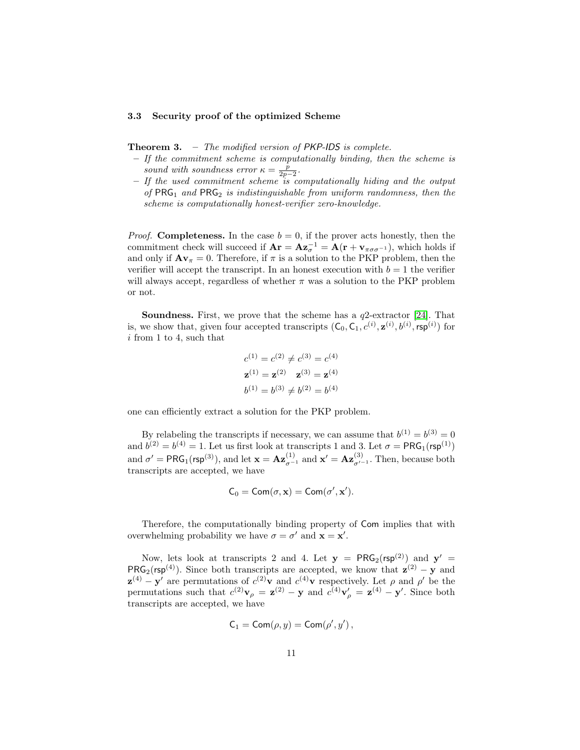#### 3.3 Security proof of the optimized Scheme

**Theorem 3.** – The modified version of  $PKP$ -IDS is complete.

- If the commitment scheme is computationally binding, then the scheme is sound with soundness error  $\kappa = \frac{p}{2p-2}$ .
- If the used commitment scheme is computationally hiding and the output of  $PRG_1$  and  $PRG_2$  is indistinguishable from uniform randomness, then the scheme is computationally honest-verifier zero-knowledge.

*Proof.* Completeness. In the case  $b = 0$ , if the prover acts honestly, then the commitment check will succeed if  $\mathbf{Ar} = \mathbf{Az}_{\sigma}^{-1} = \mathbf{A}(\mathbf{r} + \mathbf{v}_{\pi\sigma\sigma^{-1}})$ , which holds if and only if  ${\bf Av}_{\pi}=0$ . Therefore, if  $\pi$  is a solution to the PKP problem, then the verifier will accept the transcript. In an honest execution with  $b = 1$  the verifier will always accept, regardless of whether  $\pi$  was a solution to the PKP problem or not.

**Soundness.** First, we prove that the scheme has a  $q2$ -extractor [\[24\]](#page-20-5). That is, we show that, given four accepted transcripts  $(C_0, C_1, c^{(i)}, \mathbf{z}^{(i)}, b^{(i)}, \text{rsp}^{(i)})$  for i from 1 to 4, such that

$$
c^{(1)} = c^{(2)} \neq c^{(3)} = c^{(4)}
$$
  

$$
\mathbf{z}^{(1)} = \mathbf{z}^{(2)} \quad \mathbf{z}^{(3)} = \mathbf{z}^{(4)}
$$
  

$$
b^{(1)} = b^{(3)} \neq b^{(2)} = b^{(4)}
$$

one can efficiently extract a solution for the PKP problem.

By relabeling the transcripts if necessary, we can assume that  $b^{(1)} = b^{(3)} = 0$ and  $b^{(2)} = b^{(4)} = 1$ . Let us first look at transcripts 1 and 3. Let  $\sigma = \text{PRG}_1(\text{rsp}^{(1)})$ and  $\sigma' = \text{PRG}_1(\text{rsp}^{(3)})$ , and let  $\mathbf{x} = \mathbf{Az}_{\sigma^{-1}}^{(1)}$  and  $\mathbf{x}' = \mathbf{Az}_{\sigma'^{-1}}^{(3)}$ . Then, because both transcripts are accepted, we have

$$
C_0 = \text{Com}(\sigma, \mathbf{x}) = \text{Com}(\sigma', \mathbf{x}').
$$

Therefore, the computationally binding property of Com implies that with overwhelming probability we have  $\sigma = \sigma'$  and  $\mathbf{x} = \mathbf{x}'$ .

Now, lets look at transcripts 2 and 4. Let  $y = PRG_2(rsp^{(2)})$  and  $y' =$  $PRG_2$ (rsp<sup>(4)</sup>). Since both transcripts are accepted, we know that  $z^{(2)} - y$  and  $\mathbf{z}^{(4)} - \mathbf{y}'$  are permutations of  $c^{(2)}\mathbf{v}$  and  $c^{(4)}\mathbf{v}$  respectively. Let  $\rho$  and  $\rho'$  be the permutations such that  $c^{(2)}\mathbf{v}_{\rho} = \mathbf{z}^{(2)} - \mathbf{y}$  and  $c^{(4)}\mathbf{v}'_{\rho} = \mathbf{z}^{(4)} - \mathbf{y}'$ . Since both transcripts are accepted, we have

$$
C_1 = \mathsf{Com}(\rho, y) = \mathsf{Com}(\rho', y')\,,
$$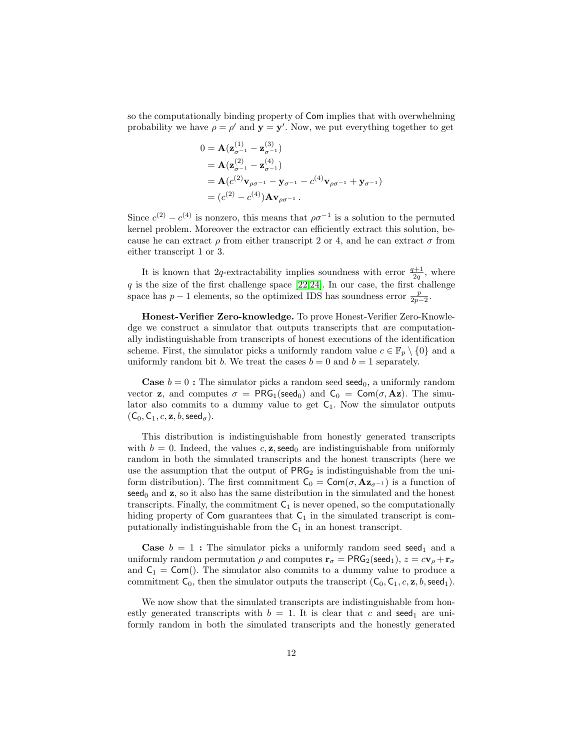so the computationally binding property of Com implies that with overwhelming probability we have  $\rho = \rho'$  and  $\mathbf{y} = \mathbf{y}'$ . Now, we put everything together to get

$$
0 = \mathbf{A} (\mathbf{z}_{\sigma^{-1}}^{(1)} - \mathbf{z}_{\sigma^{-1}}^{(3)})
$$
  
=  $\mathbf{A} (\mathbf{z}_{\sigma^{-1}}^{(2)} - \mathbf{z}_{\sigma^{-1}}^{(4)})$   
=  $\mathbf{A} (c^{(2)} \mathbf{v}_{\rho \sigma^{-1}} - \mathbf{y}_{\sigma^{-1}} - c^{(4)} \mathbf{v}_{\rho \sigma^{-1}} + \mathbf{y}_{\sigma^{-1}})$   
=  $(c^{(2)} - c^{(4)}) \mathbf{A} \mathbf{v}_{\rho \sigma^{-1}}.$ 

Since  $c^{(2)} - c^{(4)}$  is nonzero, this means that  $\rho \sigma^{-1}$  is a solution to the permuted kernel problem. Moreover the extractor can efficiently extract this solution, because he can extract  $\rho$  from either transcript 2 or 4, and he can extract  $\sigma$  from either transcript 1 or 3.

It is known that 2q-extractability implies soundness with error  $\frac{q+1}{2q}$ , where  $q$  is the size of the first challenge space [\[22,](#page-20-4)[24\]](#page-20-5). In our case, the first challenge space has  $p-1$  elements, so the optimized IDS has soundness error  $\frac{p}{2p-2}$ .

Honest-Verifier Zero-knowledge. To prove Honest-Verifier Zero-Knowledge we construct a simulator that outputs transcripts that are computationally indistinguishable from transcripts of honest executions of the identification scheme. First, the simulator picks a uniformly random value  $c \in \mathbb{F}_p \setminus \{0\}$  and a uniformly random bit b. We treat the cases  $b = 0$  and  $b = 1$  separately.

**Case**  $b = 0$ : The simulator picks a random seed seed<sub>0</sub>, a uniformly random vector **z**, and computes  $\sigma = PRG_1$ (seed<sub>0</sub>) and  $C_0 = Com(\sigma, Az)$ . The simulator also commits to a dummy value to get  $C_1$ . Now the simulator outputs  $(C_0, C_1, c, z, b, \text{seed}_{\sigma}).$ 

This distribution is indistinguishable from honestly generated transcripts with  $b = 0$ . Indeed, the values c, **z**, seed<sub>0</sub> are indistinguishable from uniformly random in both the simulated transcripts and the honest transcripts (here we use the assumption that the output of  $PRG_2$  is indistinguishable from the uniform distribution). The first commitment  $C_0 = \text{Com}(\sigma, \mathbf{Az}_{\sigma^{-1}})$  is a function of  $\mathsf{seed}_0$  and  $\mathbf{z}$ , so it also has the same distribution in the simulated and the honest transcripts. Finally, the commitment  $C_1$  is never opened, so the computationally hiding property of Com guarantees that  $C_1$  in the simulated transcript is computationally indistinguishable from the  $C_1$  in an honest transcript.

**Case**  $b = 1$ : The simulator picks a uniformly random seed seed<sub>1</sub> and a uniformly random permutation  $\rho$  and computes  $\mathbf{r}_{\sigma} = \textsf{PRG}_2(\textsf{seed}_1), z = c\mathbf{v}_{\rho} + \mathbf{r}_{\sigma}$ and  $C_1 = \text{Com}($ ). The simulator also commits to a dummy value to produce a commitment  $C_0$ , then the simulator outputs the transcript  $(C_0, C_1, c, \mathbf{z}, b, \mathsf{seed}_1)$ .

We now show that the simulated transcripts are indistinguishable from honestly generated transcripts with  $b = 1$ . It is clear that c and seed<sub>1</sub> are uniformly random in both the simulated transcripts and the honestly generated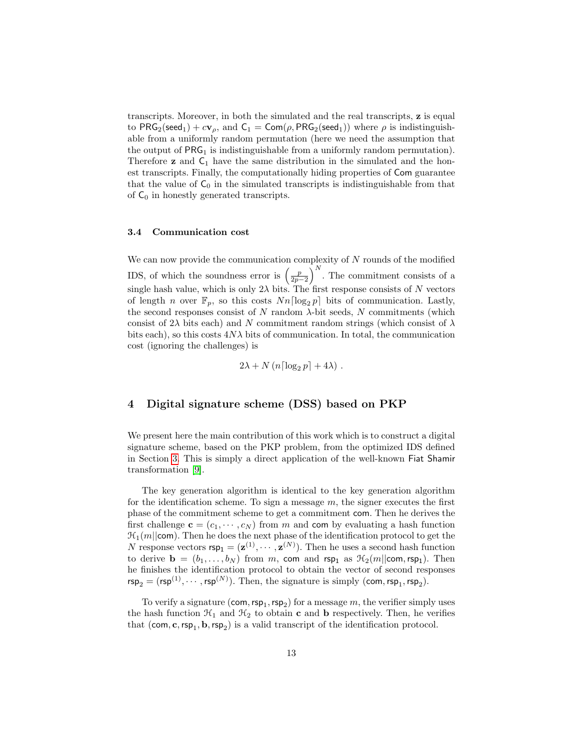transcripts. Moreover, in both the simulated and the real transcripts, z is equal to PRG<sub>2</sub>(seed<sub>1</sub>) +  $c\mathbf{v}_{\rho}$ , and  $C_1 = \text{Com}(\rho, PRG_2(\text{seed}_1))$  where  $\rho$  is indistinguishable from a uniformly random permutation (here we need the assumption that the output of  $PRG_1$  is indistinguishable from a uniformly random permutation). Therefore  $z$  and  $C_1$  have the same distribution in the simulated and the honest transcripts. Finally, the computationally hiding properties of Com guarantee that the value of  $C_0$  in the simulated transcripts is indistinguishable from that of  $C_0$  in honestly generated transcripts.

#### <span id="page-12-0"></span>3.4 Communication cost

We can now provide the communication complexity of  $N$  rounds of the modified IDS, of which the soundness error is  $\left(\frac{p}{2p-2}\right)^N$ . The commitment consists of a single hash value, which is only  $2\lambda$  bits. The first response consists of N vectors of length *n* over  $\mathbb{F}_p$ , so this costs  $Nn\lceil \log_2 p \rceil$  bits of communication. Lastly, the second responses consist of N random  $\lambda$ -bit seeds, N commitments (which consist of 2 $\lambda$  bits each) and N commitment random strings (which consist of  $\lambda$ bits each), so this costs  $4N\lambda$  bits of communication. In total, the communication cost (ignoring the challenges) is

$$
2\lambda + N\left(n\left\lceil \log_2 p\right\rceil + 4\lambda\right).
$$

## 4 Digital signature scheme (DSS) based on PKP

We present here the main contribution of this work which is to construct a digital signature scheme, based on the PKP problem, from the optimized IDS defined in Section [3.](#page-5-0) This is simply a direct application of the well-known Fiat Shamir transformation [\[9\]](#page-19-1).

The key generation algorithm is identical to the key generation algorithm for the identification scheme. To sign a message  $m$ , the signer executes the first phase of the commitment scheme to get a commitment com. Then he derives the first challenge  $\mathbf{c} = (c_1, \dots, c_N)$  from m and com by evaluating a hash function  $\mathcal{H}_1(m||com)$ . Then he does the next phase of the identification protocol to get the N response vectors  $\text{rep}_1 = (\mathbf{z}^{(1)}, \dots, \mathbf{z}^{(N)})$ . Then he uses a second hash function to derive  $\mathbf{b} = (b_1, \ldots, b_N)$  from m, com and rsp<sub>1</sub> as  $\mathcal{H}_2(m||\text{com}, \text{rsp}_1)$ . Then he finishes the identification protocol to obtain the vector of second responses  $\mathsf{rsp}_2 = (\mathsf{rsp}^{(1)}, \cdots, \mathsf{rsp}^{(N)})$ . Then, the signature is simply (com,  $\mathsf{rsp}_1, \mathsf{rsp}_2$ ).

To verify a signature  $(\textsf{com}, \textsf{rsp}_1, \textsf{rsp}_2)$  for a message m, the verifier simply uses the hash function  $\mathcal{H}_1$  and  $\mathcal{H}_2$  to obtain **c** and **b** respectively. Then, he verifies that  $(\text{com}, \text{c}, \text{rsp}_1, \text{b}, \text{rsp}_2)$  is a valid transcript of the identification protocol.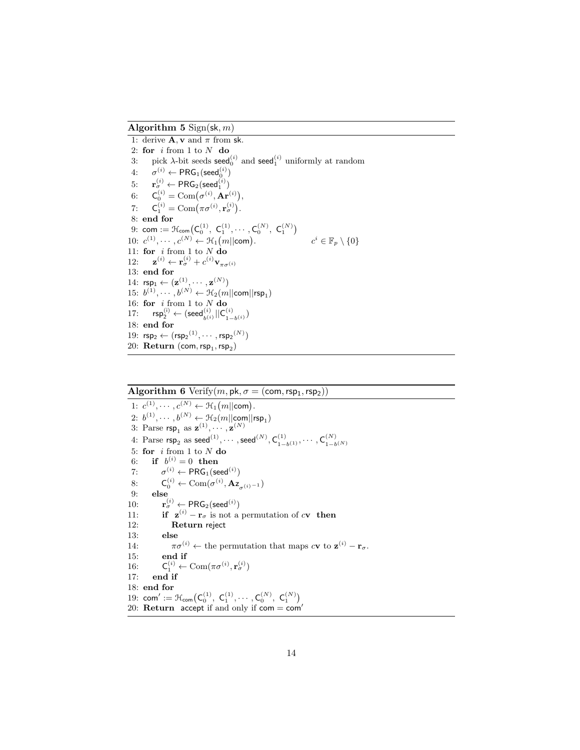Algorithm 5  $Sign(sk, m)$ 

<span id="page-13-0"></span>1: derive  $\mathbf{A}, \mathbf{v}$  and  $\pi$  from sk. 2: for  $i$  from 1 to  $N$  do 3: pick  $\lambda$ -bit seeds seed $_0^{(i)}$  and seed $_1^{(i)}$  uniformly at random  $4: \quad \sigma^{(i)} \leftarrow \mathsf{PRG}_1(\mathsf{seed}_0^{(i)})$  $5: \quad \mathbf{r}_{\sigma}^{(i)} \leftarrow \mathsf{PRG}_2(\mathsf{seed}_1^{(i)})$ 6:  $C_0^{(i)} = \text{Com}\big(\sigma^{(i)}, \mathbf{Ar}^{(i)}\big),$ 7:  $\mathsf{C}_1^{(i)} = \text{Com}\big(\pi\sigma^{(i)}, \mathbf{r}_{\sigma}^{(i)}\big).$ 8: end for  $9: \; {\sf com} := \mathfrak{H}_{\sf com}\bigl( {\sf C}_0^{(1)}, \; {\sf C}_1^{(1)}, \cdots, {\sf C}_0^{(N)}, \; {\sf C}_1^{(N)} \bigr)$ 10:  $c^{(1)}, \cdots, c^{(N)} \leftarrow \mathcal{H}_1(m||com)$ (1)  $c^i \in \mathbb{F}_p \setminus \{0\}$ 11: for  $i$  from 1 to  $N$  do  $12:$  $f^{(i)} \leftarrow \mathbf{r}_{\sigma}^{(i)} + c^{(i)} \mathbf{v}_{\pi \sigma^{(i)}}$ 13: end for 14:  $\mathsf{rsp}_1 \leftarrow (\mathbf{z}^{(1)}, \cdots, \mathbf{z}^{(N)})$ 15:  $b^{(1)}, \cdots, b^{(N)} \leftarrow \mathcal{H}_2(m||\textsf{com}||\textsf{rsp}_1)$ 16: for  $i$  from 1 to  $N$  do  $17: \quad \mathsf{rsp}_2^{(\mathsf{i})} \leftarrow (\mathsf{seed}_{b^{(\mathsf{i})}}^{(i)} || \mathsf{C}_{1-}^{(\mathsf{i})}$  $\binom{(i)}{1-b^{(i)}}$ 18: end for 19:  $\mathsf{rsp}_2 \leftarrow (\mathsf{rsp}_2^{(1)}, \cdots, \mathsf{rsp}_2^{(N)})$  $20:$   $\bf Return$   $(\bf com, \text{rsp}_1, \text{rsp}_2)$ 

## Algorithm 6 Verify $(m, pk, \sigma = (com, rsp_1, rsp_2))$

<span id="page-13-1"></span>1:  $c^{(1)}, \dots, c^{(N)} \leftarrow \mathcal{H}_1(m \mid \text{com}).$ 2:  $b^{(1)}, \cdots, b^{(N)} \leftarrow \mathfrak{H}_2(m||\text{com}||\text{rsp}_1)$ 3: Parse  $\mathsf{rsp}_1$  as  $\mathbf{z}^{(1)}, \cdots, \mathbf{z}^{(N)}$ 4: Parse  $\mathsf{rsp}_2$  as  $\mathsf{seed}^{(1)}, \cdots, \mathsf{seed}^{(N)}, \mathsf{C}_{1-}^{(1)}$  $\mathcal{C}^{(1)}_{1-b^{(1)}}, \cdots, \mathcal{C}^{(N)}_{1-b}$  $1-b^{(N)}$ 5: for  $i$  from 1 to  $N$  do 6: if  $b^{(i)} = 0$  then 7:  $\sigma^{(i)} \leftarrow \mathsf{PRG}_1(\mathsf{seed}^{(i)})$ 8:  $\mathsf{C}_0^{(i)} \leftarrow \text{Com}(\sigma^{(i)}, \mathbf{Az}_{\sigma^{(i)}}^{-1})$ 9: else  $10:$  $\overset{(i)}{\sigma} \leftarrow \mathsf{PRG}_2(\mathsf{seed}^{(i)})$ 11: **if**  $z^{(i)} - r_{\sigma}$  is not a permutation of c**v** then 12: Return reject 13: else 14:  $\pi \sigma^{(i)} \leftarrow$  the permutation that maps  $c\mathbf{v}$  to  $\mathbf{z}^{(i)} - \mathbf{r}_{\sigma}$ . 15: end if 16:  $\mathbf{C}_1^{(i)} \leftarrow \text{Com}(\pi \sigma^{(i)}, \mathbf{r}_\sigma^{(i)})$ 17: end if 18: end for 19:  $\textsf{com}' := \mathfrak{H}_{\textsf{com}} \big( \mathsf{C}_0^{(1)}, \ \mathsf{C}_1^{(1)}, \cdots, \mathsf{C}_0^{(N)}, \ \mathsf{C}_1^{(N)} \big)$ 20: Return accept if and only if  $com = com'$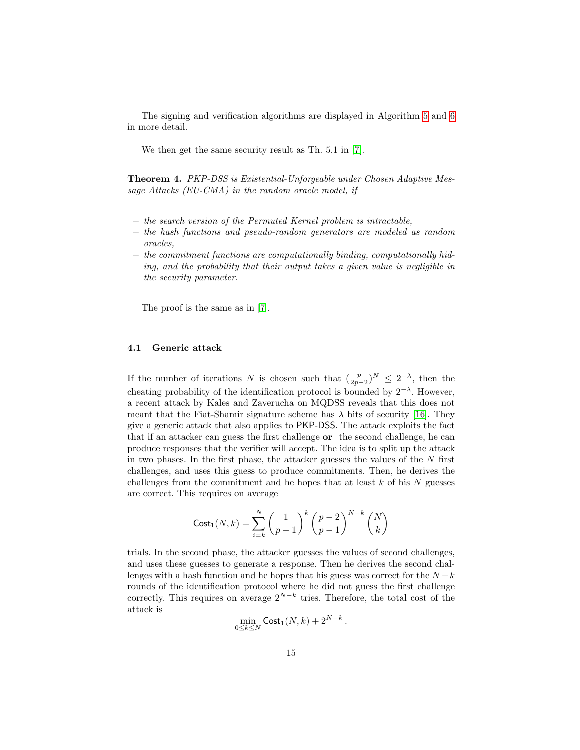The signing and verification algorithms are displayed in Algorithm [5](#page-13-0) and [6](#page-13-1) in more detail.

We then get the same security result as Th. 5.1 in [\[7\]](#page-19-4).

Theorem 4. PKP-DSS is Existential-Unforgeable under Chosen Adaptive Message Attacks (EU-CMA) in the random oracle model, if

- the search version of the Permuted Kernel problem is intractable,
- the hash functions and pseudo-random generators are modeled as random oracles,
- the commitment functions are computationally binding, computationally hiding, and the probability that their output takes a given value is negligible in the security parameter.

The proof is the same as in [\[7\]](#page-19-4).

### 4.1 Generic attack

If the number of iterations N is chosen such that  $(\frac{p}{2p-2})^N \leq 2^{-\lambda}$ , then the cheating probability of the identification protocol is bounded by  $2^{-\lambda}$ . However, a recent attack by Kales and Zaverucha on MQDSS reveals that this does not meant that the Fiat-Shamir signature scheme has  $\lambda$  bits of security [\[16\]](#page-19-9). They give a generic attack that also applies to PKP-DSS. The attack exploits the fact that if an attacker can guess the first challenge or the second challenge, he can produce responses that the verifier will accept. The idea is to split up the attack in two phases. In the first phase, the attacker guesses the values of the  $N$  first challenges, and uses this guess to produce commitments. Then, he derives the challenges from the commitment and he hopes that at least  $k$  of his  $N$  guesses are correct. This requires on average

$$
Cost_1(N,k) = \sum_{i=k}^{N} \left(\frac{1}{p-1}\right)^k \left(\frac{p-2}{p-1}\right)^{N-k} {N \choose k}
$$

trials. In the second phase, the attacker guesses the values of second challenges, and uses these guesses to generate a response. Then he derives the second challenges with a hash function and he hopes that his guess was correct for the  $N - k$ rounds of the identification protocol where he did not guess the first challenge correctly. This requires on average  $2^{N-k}$  tries. Therefore, the total cost of the attack is

$$
\min_{0\leq k\leq N}\mathsf{Cost}_1(N,k)+2^{N-k}.
$$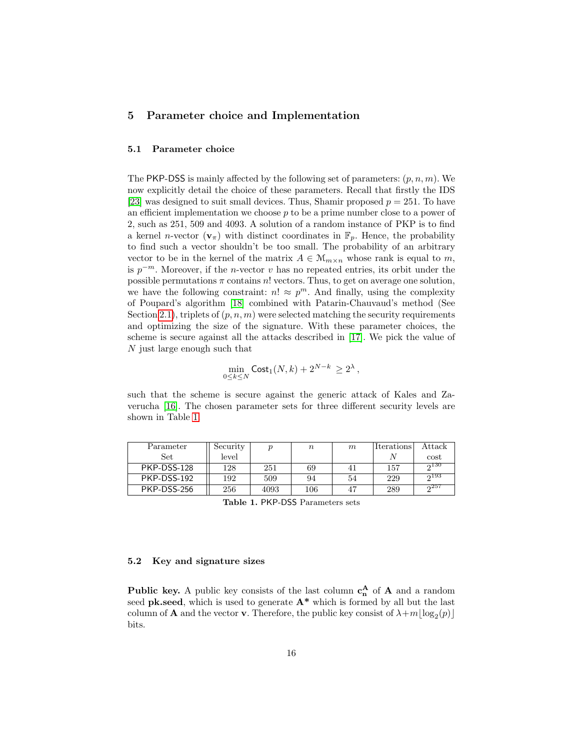## 5 Parameter choice and Implementation

### 5.1 Parameter choice

The PKP-DSS is mainly affected by the following set of parameters:  $(p, n, m)$ . We now explicitly detail the choice of these parameters. Recall that firstly the IDS [\[23\]](#page-20-0) was designed to suit small devices. Thus, Shamir proposed  $p = 251$ . To have an efficient implementation we choose  $p$  to be a prime number close to a power of 2, such as 251, 509 and 4093. A solution of a random instance of PKP is to find a kernel *n*-vector  $(\mathbf{v}_\pi)$  with distinct coordinates in  $\mathbb{F}_p$ . Hence, the probability to find such a vector shouldn't be too small. The probability of an arbitrary vector to be in the kernel of the matrix  $A \in \mathcal{M}_{m \times n}$  whose rank is equal to m, is  $p^{-m}$ . Moreover, if the *n*-vector v has no repeated entries, its orbit under the possible permutations  $\pi$  contains  $n!$  vectors. Thus, to get on average one solution, we have the following constraint:  $n! \approx p^m$ . And finally, using the complexity of Poupard's algorithm [\[18\]](#page-19-7) combined with Patarin-Chauvaud's method (See Section [2.1\)](#page-3-0), triplets of  $(p, n, m)$  were selected matching the security requirements and optimizing the size of the signature. With these parameter choices, the scheme is secure against all the attacks described in [\[17\]](#page-19-2). We pick the value of N just large enough such that

$$
\min_{0 \le k \le N} \text{Cost}_1(N,k) + 2^{N-k} \ge 2^{\lambda},
$$

such that the scheme is secure against the generic attack of Kales and Zaverucha [\[16\]](#page-19-9). The chosen parameter sets for three different security levels are shown in Table [1.](#page-15-0)

<span id="page-15-0"></span>

| Parameter   | Security |      | $\it n$ | m   | <i>Iterations</i> | Attack |
|-------------|----------|------|---------|-----|-------------------|--------|
| Set         | level    |      |         |     |                   | cost   |
| PKP-DSS-128 | 128      | 251  | 69      | 4 I | 157               | 2130   |
| PKP-DSS-192 | 192      | 509  | 94      | 54  | 229               | 0.193  |
| PKP-DSS-256 | 256      | 4093 | 106     |     | 289               | 0.257  |

Table 1. PKP-DSS Parameters sets

### 5.2 Key and signature sizes

**Public key.** A public key consists of the last column  $c_n^A$  of  $A$  and a random seed **pk.seed**, which is used to generate  $A^*$  which is formed by all but the last column of **A** and the vector **v**. Therefore, the public key consist of  $\lambda + m \lfloor \log_2(p) \rfloor$ bits.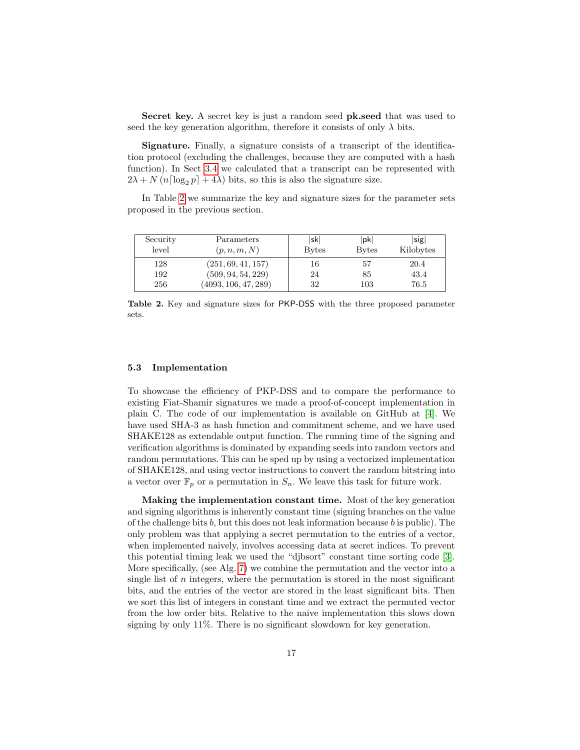Secret key. A secret key is just a random seed pk.seed that was used to seed the key generation algorithm, therefore it consists of only  $\lambda$  bits.

Signature. Finally, a signature consists of a transcript of the identification protocol (excluding the challenges, because they are computed with a hash function). In Sect [3.4](#page-12-0) we calculated that a transcript can be represented with  $2\lambda + N(n \log_2 p + 4\lambda)$  bits, so this is also the signature size.

In Table [2](#page-16-0) we summarize the key and signature sizes for the parameter sets proposed in the previous section.

<span id="page-16-0"></span>

| Security | Parameters           | sk           | pk           | $ \text{sig} $ |
|----------|----------------------|--------------|--------------|----------------|
| level    | (p, n, m, N)         | <b>Bytes</b> | <b>Bytes</b> | Kilobytes      |
| 128      | (251, 69, 41, 157)   | 16           | 57           | 20.4           |
| 192      | (509, 94, 54, 229)   | 24           | 85           | 43.4           |
| 256      | (4093, 106, 47, 289) | 32           | 103          | 76.5           |

Table 2. Key and signature sizes for PKP-DSS with the three proposed parameter sets.

#### 5.3 Implementation

To showcase the efficiency of PKP-DSS and to compare the performance to existing Fiat-Shamir signatures we made a proof-of-concept implementation in plain C. The code of our implementation is available on GitHub at [\[4\]](#page-19-10). We have used SHA-3 as hash function and commitment scheme, and we have used SHAKE128 as extendable output function. The running time of the signing and verification algorithms is dominated by expanding seeds into random vectors and random permutations. This can be sped up by using a vectorized implementation of SHAKE128, and using vector instructions to convert the random bitstring into a vector over  $\mathbb{F}_p$  or a permutation in  $S_n$ . We leave this task for future work.

Making the implementation constant time. Most of the key generation and signing algorithms is inherently constant time (signing branches on the value of the challenge bits b, but this does not leak information because b is public). The only problem was that applying a secret permutation to the entries of a vector, when implemented naively, involves accessing data at secret indices. To prevent this potential timing leak we used the "djbsort" constant time sorting code [\[3\]](#page-18-1). More specifically, (see Alg. [7\)](#page-17-0) we combine the permutation and the vector into a single list of  $n$  integers, where the permutation is stored in the most significant bits, and the entries of the vector are stored in the least significant bits. Then we sort this list of integers in constant time and we extract the permuted vector from the low order bits. Relative to the naive implementation this slows down signing by only 11%. There is no significant slowdown for key generation.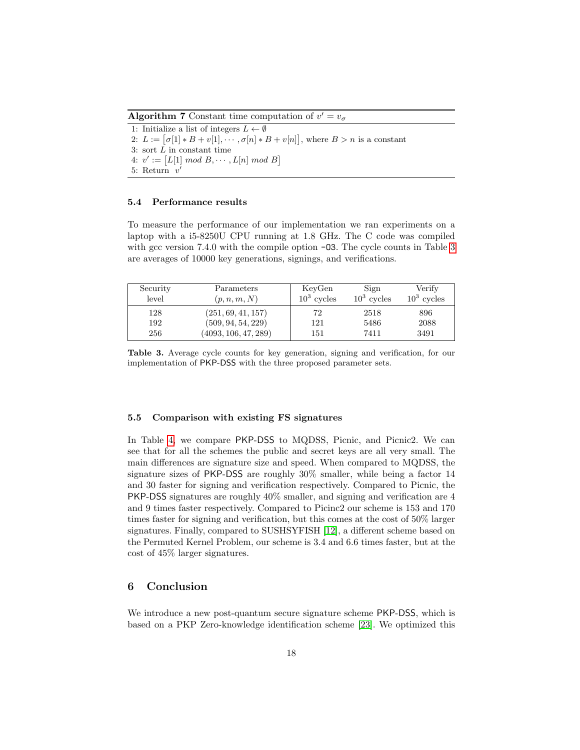**Algorithm 7** Constant time computation of  $v' = v_{\sigma}$ 

<span id="page-17-0"></span>1: Initialize a list of integers  $L \leftarrow \emptyset$ 2:  $L := [\sigma[1] * B + v[1], \cdots, \sigma[n] * B + v[n]],$  where  $B > n$  is a constant 3: sort  $\overline{L}$  in constant time 4:  $v' := [L[1] \mod B, \cdots, L[n] \mod B]$ 5: Return  $v'$ 

### 5.4 Performance results

To measure the performance of our implementation we ran experiments on a laptop with a i5-8250U CPU running at 1.8 GHz. The C code was compiled with gcc version  $7.4.0$  with the compile option  $-03$ . The cycle counts in Table [3](#page-17-1) are averages of 10000 key generations, signings, and verifications.

| Security<br>level | Parameters<br>(p, n, m, N) | KeyGen<br>$10^3$ cycles | Sign<br>$10^3$ cycles | Verify<br>$10^3$ cycles |
|-------------------|----------------------------|-------------------------|-----------------------|-------------------------|
| 128               | (251, 69, 41, 157)         | 72                      | 2518                  | 896                     |
| 192               | (509, 94, 54, 229)         | 121                     | 5486                  | 2088                    |
| 256               | (4093, 106, 47, 289)       | 151                     | 7411                  | 3491                    |

<span id="page-17-1"></span>Table 3. Average cycle counts for key generation, signing and verification, for our implementation of PKP-DSS with the three proposed parameter sets.

#### 5.5 Comparison with existing FS signatures

In Table [4,](#page-18-2) we compare PKP-DSS to MQDSS, Picnic, and Picnic2. We can see that for all the schemes the public and secret keys are all very small. The main differences are signature size and speed. When compared to MQDSS, the signature sizes of PKP-DSS are roughly 30% smaller, while being a factor 14 and 30 faster for signing and verification respectively. Compared to Picnic, the PKP-DSS signatures are roughly 40% smaller, and signing and verification are 4 and 9 times faster respectively. Compared to Picinc2 our scheme is 153 and 170 times faster for signing and verification, but this comes at the cost of 50% larger signatures. Finally, compared to SUSHSYFISH [\[12\]](#page-19-11), a different scheme based on the Permuted Kernel Problem, our scheme is 3.4 and 6.6 times faster, but at the cost of 45% larger signatures.

### 6 Conclusion

We introduce a new post-quantum secure signature scheme PKP-DSS, which is based on a PKP Zero-knowledge identification scheme [\[23\]](#page-20-0). We optimized this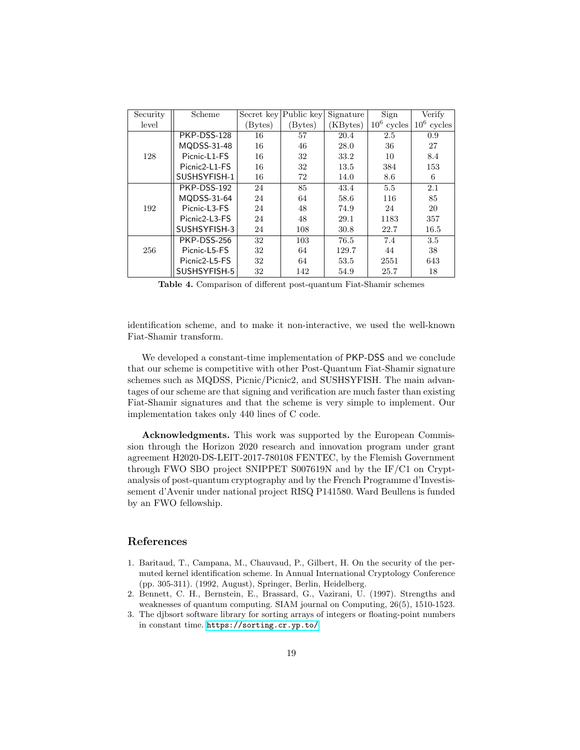| Security | Scheme        | Secret key | Public key | Signature | Sign                      | Verify        |
|----------|---------------|------------|------------|-----------|---------------------------|---------------|
| level    |               | (Bytes)    | (Bytes)    | (KBytes)  | 10 <sup>6</sup><br>cycles | $10^6$ cycles |
|          | PKP-DSS-128   | 16         | 57         | 20.4      | 2.5                       | 0.9           |
|          | MQDSS-31-48   | 16         | 46         | 28.0      | 36                        | 27            |
| 128      | Picnic-L1-FS  | 16         | 32         | 33.2      | 10                        | 8.4           |
|          | Picnic2-L1-FS | 16         | 32         | 13.5      | 384                       | 153           |
|          | SUSHSYFISH-1  | 16         | 72         | 14.0      | 8.6                       | 6             |
|          | PKP-DSS-192   | 24         | 85         | 43.4      | 5.5                       | 2.1           |
| 192      | MQDSS-31-64   | 24         | 64         | 58.6      | 116                       | 85            |
|          | Picnic-L3-FS  | 24         | 48         | 74.9      | 24                        | 20            |
|          | Picnic2-L3-FS | 24         | 48         | 29.1      | 1183                      | 357           |
|          | SUSHSYFISH-3  | 24         | 108        | 30.8      | 22.7                      | 16.5          |
| 256      | PKP-DSS-256   | 32         | 103        | 76.5      | 7.4                       | 3.5           |
|          | Picnic-L5-FS  | 32         | 64         | 129.7     | 44                        | 38            |
|          | Picnic2-L5-FS | 32         | 64         | 53.5      | 2551                      | 643           |
|          | SUSHSYFISH-5  | 32         | 142        | 54.9      | 25.7                      | 18            |

<span id="page-18-2"></span>Table 4. Comparison of different post-quantum Fiat-Shamir schemes

identification scheme, and to make it non-interactive, we used the well-known Fiat-Shamir transform.

We developed a constant-time implementation of PKP-DSS and we conclude that our scheme is competitive with other Post-Quantum Fiat-Shamir signature schemes such as MQDSS, Picnic/Picnic2, and SUSHSYFISH. The main advantages of our scheme are that signing and verification are much faster than existing Fiat-Shamir signatures and that the scheme is very simple to implement. Our implementation takes only 440 lines of C code.

Acknowledgments. This work was supported by the European Commission through the Horizon 2020 research and innovation program under grant agreement H2020-DS-LEIT-2017-780108 FENTEC, by the Flemish Government through FWO SBO project SNIPPET S007619N and by the IF/C1 on Cryptanalysis of post-quantum cryptography and by the French Programme d'Investissement d'Avenir under national project RISQ P141580. Ward Beullens is funded by an FWO fellowship.

## References

- 1. Baritaud, T., Campana, M., Chauvaud, P., Gilbert, H. On the security of the permuted kernel identification scheme. In Annual International Cryptology Conference (pp. 305-311). (1992, August), Springer, Berlin, Heidelberg.
- <span id="page-18-0"></span>2. Bennett, C. H., Bernstein, E., Brassard, G., Vazirani, U. (1997). Strengths and weaknesses of quantum computing. SIAM journal on Computing, 26(5), 1510-1523.
- <span id="page-18-1"></span>3. The djbsort software library for sorting arrays of integers or floating-point numbers in constant time. <https://sorting.cr.yp.to/>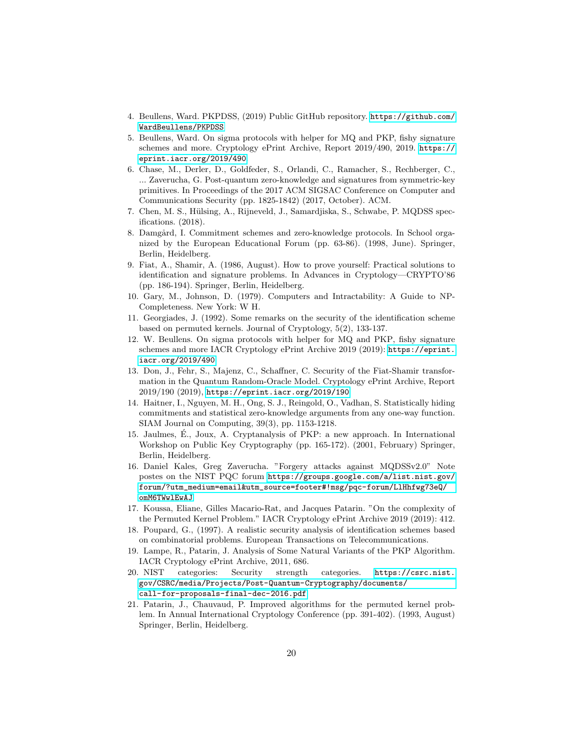- <span id="page-19-10"></span>4. Beullens, Ward. PKPDSS, (2019) Public GitHub repository. [https://github.com/](https://github.com/WardBeullens/PKPDSS) [WardBeullens/PKPDSS](https://github.com/WardBeullens/PKPDSS)
- 5. Beullens, Ward. On sigma protocols with helper for MQ and PKP, fishy signature schemes and more. Cryptology ePrint Archive, Report 2019/490, 2019. [https://](https://eprint. iacr. org/2019/490) [eprint.iacr.org/2019/490](https://eprint. iacr. org/2019/490).
- <span id="page-19-5"></span>6. Chase, M., Derler, D., Goldfeder, S., Orlandi, C., Ramacher, S., Rechberger, C., ... Zaverucha, G. Post-quantum zero-knowledge and signatures from symmetric-key primitives. In Proceedings of the 2017 ACM SIGSAC Conference on Computer and Communications Security (pp. 1825-1842) (2017, October). ACM.
- <span id="page-19-4"></span>7. Chen, M. S., Hülsing, A., Rijneveld, J., Samardjiska, S., Schwabe, P. MQDSS specifications. (2018).
- 8. Damgård, I. Commitment schemes and zero-knowledge protocols. In School organized by the European Educational Forum (pp. 63-86). (1998, June). Springer, Berlin, Heidelberg.
- <span id="page-19-1"></span>9. Fiat, A., Shamir, A. (1986, August). How to prove yourself: Practical solutions to identification and signature problems. In Advances in Cryptology—CRYPTO'86 (pp. 186-194). Springer, Berlin, Heidelberg.
- <span id="page-19-0"></span>10. Gary, M., Johnson, D. (1979). Computers and Intractability: A Guide to NP-Completeness. New York: W H.
- 11. Georgiades, J. (1992). Some remarks on the security of the identification scheme based on permuted kernels. Journal of Cryptology, 5(2), 133-137.
- <span id="page-19-11"></span>12. W. Beullens. On sigma protocols with helper for MQ and PKP, fishy signature schemes and more IACR Cryptology ePrint Archive 2019 (2019): [https://eprint.](https://eprint.iacr.org/2019/490) [iacr.org/2019/490](https://eprint.iacr.org/2019/490).
- <span id="page-19-3"></span>13. Don, J., Fehr, S., Majenz, C., Schaffner, C. Security of the Fiat-Shamir transformation in the Quantum Random-Oracle Model. Cryptology ePrint Archive, Report 2019/190 (2019), <https://eprint.iacr.org/2019/190>
- 14. Haitner, I., Nguyen, M. H., Ong, S. J., Reingold, O., Vadhan, S. Statistically hiding commitments and statistical zero-knowledge arguments from any one-way function. SIAM Journal on Computing, 39(3), pp. 1153-1218.
- 15. Jaulmes, E., Joux, A. Cryptanalysis of PKP: a new approach. In International ´ Workshop on Public Key Cryptography (pp. 165-172). (2001, February) Springer, Berlin, Heidelberg.
- <span id="page-19-9"></span>16. Daniel Kales, Greg Zaverucha. "Forgery attacks against MQDSSv2.0" Note postes on the NIST PQC forum [https://groups.google.com/a/list.nist.gov/](https://groups.google.com/a/list.nist.gov/forum/?utm_medium=email&utm_source=footer#!msg/pqc-forum/LlHhfwg73eQ/omM6TWwlEwAJ) [forum/?utm\\_medium=email&utm\\_source=footer#!msg/pqc-forum/LlHhfwg73eQ/](https://groups.google.com/a/list.nist.gov/forum/?utm_medium=email&utm_source=footer#!msg/pqc-forum/LlHhfwg73eQ/omM6TWwlEwAJ) [omM6TWwlEwAJ](https://groups.google.com/a/list.nist.gov/forum/?utm_medium=email&utm_source=footer#!msg/pqc-forum/LlHhfwg73eQ/omM6TWwlEwAJ)
- <span id="page-19-2"></span>17. Koussa, Eliane, Gilles Macario-Rat, and Jacques Patarin. "On the complexity of the Permuted Kernel Problem." IACR Cryptology ePrint Archive 2019 (2019): 412.
- <span id="page-19-7"></span>18. Poupard, G., (1997). A realistic security analysis of identification schemes based on combinatorial problems. European Transactions on Telecommunications.
- <span id="page-19-8"></span>19. Lampe, R., Patarin, J. Analysis of Some Natural Variants of the PKP Algorithm. IACR Cryptology ePrint Archive, 2011, 686.
- 20. NIST categories: Security strength categories. [https://csrc.nist.](https://csrc.nist.gov/CSRC/media/Projects/Post-Quantum-Cryptography/documents/call-for-proposals-final-dec-2016.pdf) [gov/CSRC/media/Projects/Post-Quantum-Cryptography/documents/](https://csrc.nist.gov/CSRC/media/Projects/Post-Quantum-Cryptography/documents/call-for-proposals-final-dec-2016.pdf) [call-for-proposals-final-dec-2016.pdf](https://csrc.nist.gov/CSRC/media/Projects/Post-Quantum-Cryptography/documents/call-for-proposals-final-dec-2016.pdf)
- <span id="page-19-6"></span>21. Patarin, J., Chauvaud, P. Improved algorithms for the permuted kernel problem. In Annual International Cryptology Conference (pp. 391-402). (1993, August) Springer, Berlin, Heidelberg.